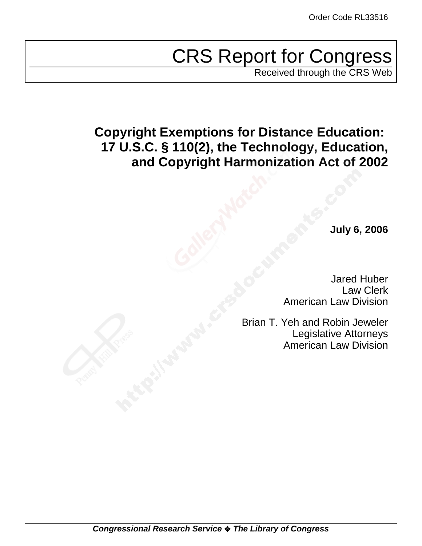# CRS Report for Congress

Received through the CRS Web

# **Copyright Exemptions for Distance Education: 17 U.S.C. § 110(2), the Technology, Education, and Copyright Harmonization Act of 2002**

**July 6, 2006**

Jared Huber Law Clerk American Law Division

Brian T. Yeh and Robin Jeweler Legislative Attorneys American Law Division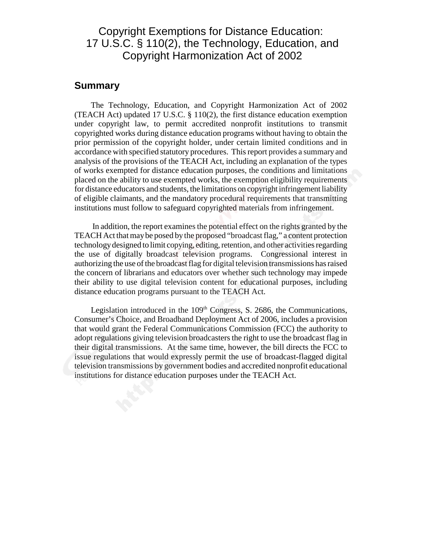## Copyright Exemptions for Distance Education: 17 U.S.C. § 110(2), the Technology, Education, and Copyright Harmonization Act of 2002

#### **Summary**

The Technology, Education, and Copyright Harmonization Act of 2002 (TEACH Act) updated 17 U.S.C.  $\S$  110(2), the first distance education exemption under copyright law, to permit accredited nonprofit institutions to transmit copyrighted works during distance education programs without having to obtain the prior permission of the copyright holder, under certain limited conditions and in accordance with specified statutory procedures. This report provides a summary and analysis of the provisions of the TEACH Act, including an explanation of the types of works exempted for distance education purposes, the conditions and limitations placed on the ability to use exempted works, the exemption eligibility requirements for distance educators and students, the limitations on copyright infringement liability of eligible claimants, and the mandatory procedural requirements that transmitting institutions must follow to safeguard copyrighted materials from infringement.

 In addition, the report examines the potential effect on the rights granted by the TEACH Act that may be posed by the proposed "broadcast flag," a content protection technology designed to limit copying, editing, retention, and other activities regarding the use of digitally broadcast television programs. Congressional interest in authorizing the use of the broadcast flag for digital television transmissions has raised the concern of librarians and educators over whether such technology may impede their ability to use digital television content for educational purposes, including distance education programs pursuant to the TEACH Act.

Legislation introduced in the  $109<sup>th</sup>$  Congress, S. 2686, the Communications, Consumer's Choice, and Broadband Deployment Act of 2006, includes a provision that would grant the Federal Communications Commission (FCC) the authority to adopt regulations giving television broadcasters the right to use the broadcast flag in their digital transmissions. At the same time, however, the bill directs the FCC to issue regulations that would expressly permit the use of broadcast-flagged digital television transmissions by government bodies and accredited nonprofit educational institutions for distance education purposes under the TEACH Act.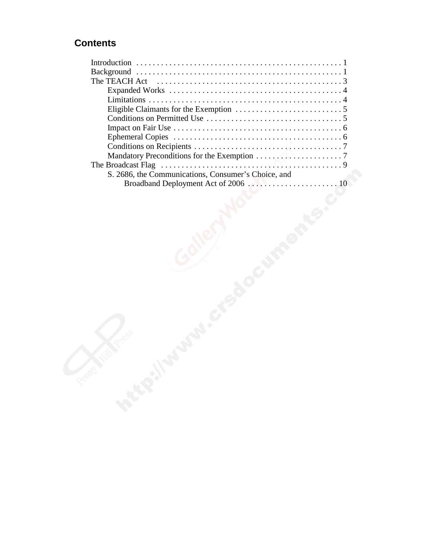### **Contents**

| The TEACH Act $\ldots \ldots \ldots \ldots \ldots \ldots \ldots \ldots \ldots \ldots \ldots \ldots \ldots$ |
|------------------------------------------------------------------------------------------------------------|
|                                                                                                            |
|                                                                                                            |
|                                                                                                            |
|                                                                                                            |
|                                                                                                            |
|                                                                                                            |
|                                                                                                            |
|                                                                                                            |
|                                                                                                            |
| S. 2686, the Communications, Consumer's Choice, and                                                        |
|                                                                                                            |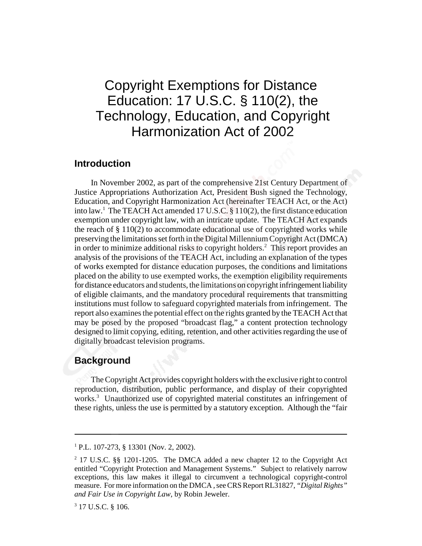# Copyright Exemptions for Distance Education: 17 U.S.C. § 110(2), the Technology, Education, and Copyright Harmonization Act of 2002

#### **Introduction**

In November 2002, as part of the comprehensive 21st Century Department of Justice Appropriations Authorization Act, President Bush signed the Technology, Education, and Copyright Harmonization Act (hereinafter TEACH Act, or the Act) into law.1 The TEACH Act amended 17 U.S.C. § 110(2), the first distance education exemption under copyright law, with an intricate update. The TEACH Act expands the reach of  $\S 110(2)$  to accommodate educational use of copyrighted works while preserving the limitations set forth in the Digital Millennium Copyright Act (DMCA) in order to minimize additional risks to copyright holders.<sup>2</sup> This report provides an analysis of the provisions of the TEACH Act, including an explanation of the types of works exempted for distance education purposes, the conditions and limitations placed on the ability to use exempted works, the exemption eligibility requirements for distance educators and students, the limitations on copyright infringement liability of eligible claimants, and the mandatory procedural requirements that transmitting institutions must follow to safeguard copyrighted materials from infringement. The report also examines the potential effect on the rights granted by the TEACH Act that may be posed by the proposed "broadcast flag," a content protection technology designed to limit copying, editing, retention, and other activities regarding the use of digitally broadcast television programs.

#### **Background**

The Copyright Act provides copyright holders with the exclusive right to control reproduction, distribution, public performance, and display of their copyrighted works.<sup>3</sup> Unauthorized use of copyrighted material constitutes an infringement of these rights, unless the use is permitted by a statutory exception. Although the "fair

<sup>1</sup> P.L. 107-273, § 13301 (Nov. 2, 2002).

 $2$  17 U.S.C. §§ 1201-1205. The DMCA added a new chapter 12 to the Copyright Act entitled "Copyright Protection and Management Systems." Subject to relatively narrow exceptions, this law makes it illegal to circumvent a technological copyright-control measure. For more information on the DMCA , see CRS Report RL31827, *"Digital Rights" and Fair Use in Copyright Law*, by Robin Jeweler.

<sup>&</sup>lt;sup>3</sup> 17 U.S.C. § 106.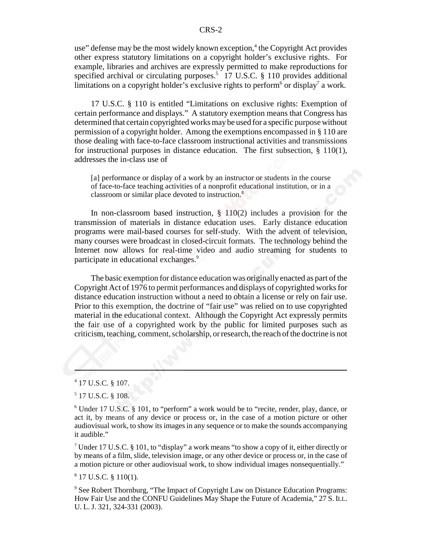use" defense may be the most widely known exception,<sup>4</sup> the Copyright Act provides other express statutory limitations on a copyright holder's exclusive rights. For example, libraries and archives are expressly permitted to make reproductions for specified archival or circulating purposes.<sup>5</sup> 17 U.S.C. § 110 provides additional limitations on a copyright holder's exclusive rights to perform<sup>6</sup> or display<sup>7</sup> a work.

17 U.S.C. § 110 is entitled "Limitations on exclusive rights: Exemption of certain performance and displays." A statutory exemption means that Congress has determined that certain copyrighted works may be used for a specific purpose without permission of a copyright holder. Among the exemptions encompassed in § 110 are those dealing with face-to-face classroom instructional activities and transmissions for instructional purposes in distance education. The first subsection,  $\S$  110(1), addresses the in-class use of

[a] performance or display of a work by an instructor or students in the course of face-to-face teaching activities of a nonprofit educational institution, or in a classroom or similar place devoted to instruction.8

In non-classroom based instruction, § 110(2) includes a provision for the transmission of materials in distance education uses. Early distance education programs were mail-based courses for self-study. With the advent of television, many courses were broadcast in closed-circuit formats. The technology behind the Internet now allows for real-time video and audio streaming for students to participate in educational exchanges.<sup>9</sup>

The basic exemption for distance education was originally enacted as part of the Copyright Act of 1976 to permit performances and displays of copyrighted works for distance education instruction without a need to obtain a license or rely on fair use. Prior to this exemption, the doctrine of "fair use" was relied on to use copyrighted material in the educational context. Although the Copyright Act expressly permits the fair use of a copyrighted work by the public for limited purposes such as criticism, teaching, comment, scholarship, or research, the reach of the doctrine is not

<sup>7</sup> Under 17 U.S.C. § 101, to "display" a work means "to show a copy of it, either directly or by means of a film, slide, television image, or any other device or process or, in the case of a motion picture or other audiovisual work, to show individual images nonsequentially."

8 17 U.S.C. § 110(1).

<sup>9</sup> See Robert Thornburg, "The Impact of Copyright Law on Distance Education Programs: How Fair Use and the CONFU Guidelines May Shape the Future of Academia," 27 S. ILL. U. L. J. 321, 324-331 (2003).

<sup>4</sup> 17 U.S.C. § 107.

<sup>5</sup> 17 U.S.C. § 108.

<sup>&</sup>lt;sup>6</sup> Under 17 U.S.C. § 101, to "perform" a work would be to "recite, render, play, dance, or act it, by means of any device or process or, in the case of a motion picture or other audiovisual work, to show its images in any sequence or to make the sounds accompanying it audible."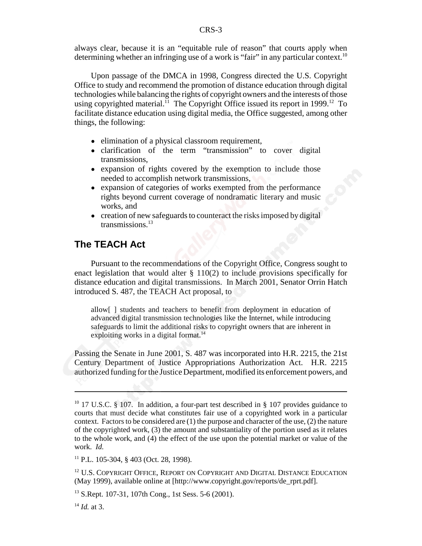always clear, because it is an "equitable rule of reason" that courts apply when determining whether an infringing use of a work is "fair" in any particular context.<sup>10</sup>

Upon passage of the DMCA in 1998, Congress directed the U.S. Copyright Office to study and recommend the promotion of distance education through digital technologies while balancing the rights of copyright owners and the interests of those using copyrighted material.<sup> $11$ </sup> The Copyright Office issued its report in 1999.<sup>12</sup> To facilitate distance education using digital media, the Office suggested, among other things, the following:

- elimination of a physical classroom requirement,
- ! clarification of the term "transmission" to cover digital transmissions,
- expansion of rights covered by the exemption to include those needed to accomplish network transmissions,
- expansion of categories of works exempted from the performance rights beyond current coverage of nondramatic literary and music works, and
- creation of new safeguards to counteract the risks imposed by digital transmissions.<sup>13</sup>

### **The TEACH Act**

Pursuant to the recommendations of the Copyright Office, Congress sought to enact legislation that would alter § 110(2) to include provisions specifically for distance education and digital transmissions. In March 2001, Senator Orrin Hatch introduced S. 487, the TEACH Act proposal, to

allow[ ] students and teachers to benefit from deployment in education of advanced digital transmission technologies like the Internet, while introducing safeguards to limit the additional risks to copyright owners that are inherent in exploiting works in a digital format.<sup>14</sup>

Passing the Senate in June 2001, S. 487 was incorporated into H.R. 2215, the 21st Century Department of Justice Appropriations Authorization Act. H.R. 2215 authorized funding for the Justice Department, modified its enforcement powers, and

 $11$  P.L. 105-304, § 403 (Oct. 28, 1998).

<sup>12</sup> U.S. COPYRIGHT OFFICE, REPORT ON COPYRIGHT AND DIGITAL DISTANCE EDUCATION (May 1999), available online at [http://www.copyright.gov/reports/de\_rprt.pdf].

13 S.Rept. 107-31, 107th Cong., 1st Sess. 5-6 (2001).

 $^{14}$  *Id.* at 3.

<sup>&</sup>lt;sup>10</sup> 17 U.S.C. § 107. In addition, a four-part test described in § 107 provides guidance to courts that must decide what constitutes fair use of a copyrighted work in a particular context. Factors to be considered are  $(1)$  the purpose and character of the use,  $(2)$  the nature of the copyrighted work, (3) the amount and substantiality of the portion used as it relates to the whole work, and (4) the effect of the use upon the potential market or value of the work. *Id.*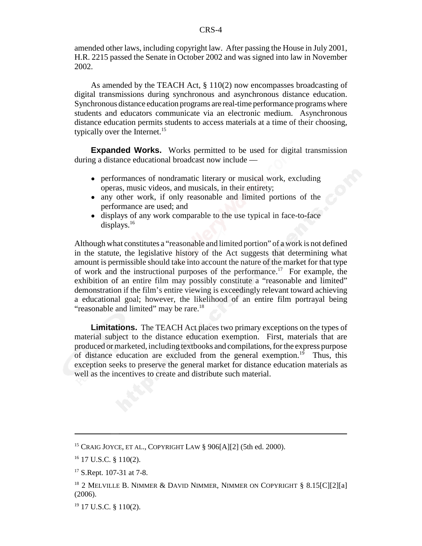amended other laws, including copyright law. After passing the House in July 2001, H.R. 2215 passed the Senate in October 2002 and was signed into law in November 2002.

As amended by the TEACH Act, § 110(2) now encompasses broadcasting of digital transmissions during synchronous and asynchronous distance education. Synchronous distance education programs are real-time performance programs where students and educators communicate via an electronic medium. Asynchronous distance education permits students to access materials at a time of their choosing, typically over the Internet.<sup>15</sup>

**Expanded Works.** Works permitted to be used for digital transmission during a distance educational broadcast now include —

- ! performances of nondramatic literary or musical work, excluding operas, music videos, and musicals, in their entirety;
- any other work, if only reasonable and limited portions of the performance are used; and
- displays of any work comparable to the use typical in face-to-face displays.<sup>16</sup>

Although what constitutes a "reasonable and limited portion" of a work is not defined in the statute, the legislative history of the Act suggests that determining what amount is permissible should take into account the nature of the market for that type of work and the instructional purposes of the performance.<sup>17</sup> For example, the exhibition of an entire film may possibly constitute a "reasonable and limited" demonstration if the film's entire viewing is exceedingly relevant toward achieving a educational goal; however, the likelihood of an entire film portrayal being "reasonable and limited" may be rare.<sup>18</sup>

**Limitations.** The TEACH Act places two primary exceptions on the types of material subject to the distance education exemption. First, materials that are produced or marketed, including textbooks and compilations, for the express purpose of distance education are excluded from the general exemption.<sup>19</sup> Thus, this exception seeks to preserve the general market for distance education materials as well as the incentives to create and distribute such material.

<sup>&</sup>lt;sup>15</sup> CRAIG JOYCE, ET AL., COPYRIGHT LAW  $\S$  906[A][2] (5th ed. 2000).

<sup>&</sup>lt;sup>16</sup> 17 U.S.C. § 110(2).

<sup>&</sup>lt;sup>17</sup> S.Rept. 107-31 at 7-8.

<sup>&</sup>lt;sup>18</sup> 2 MELVILLE B. NIMMER & DAVID NIMMER, NIMMER ON COPYRIGHT  $\S 8.15$ [C][2][a] (2006).

 $19$  17 U.S.C. § 110(2).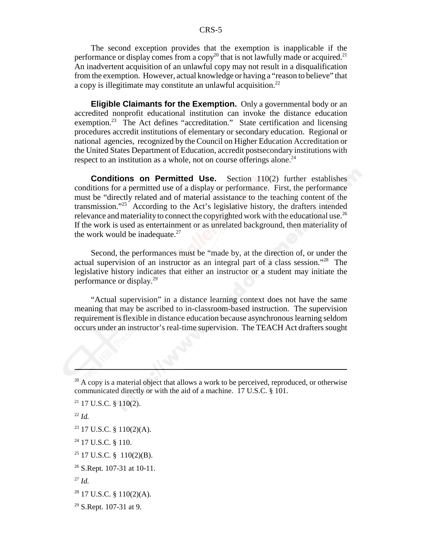The second exception provides that the exemption is inapplicable if the performance or display comes from a  $\text{copy}^{20}$  that is not lawfully made or acquired.<sup>21</sup> An inadvertent acquisition of an unlawful copy may not result in a disqualification from the exemption. However, actual knowledge or having a "reason to believe" that a copy is illegitimate may constitute an unlawful acquisition.<sup>22</sup>

**Eligible Claimants for the Exemption.** Only a governmental body or an accredited nonprofit educational institution can invoke the distance education exemption.<sup>23</sup> The Act defines "accreditation." State certification and licensing procedures accredit institutions of elementary or secondary education. Regional or national agencies, recognized by the Council on Higher Education Accreditation or the United States Department of Education, accredit postsecondary institutions with respect to an institution as a whole, not on course offerings alone.<sup>24</sup>

**Conditions on Permitted Use.** Section 110(2) further establishes conditions for a permitted use of a display or performance. First, the performance must be "directly related and of material assistance to the teaching content of the transmission."25 According to the Act's legislative history, the drafters intended relevance and materiality to connect the copyrighted work with the educational use.<sup>26</sup> If the work is used as entertainment or as unrelated background, then materiality of the work would be inadequate. $27$ 

Second, the performances must be "made by, at the direction of, or under the actual supervision of an instructor as an integral part of a class session."28 The legislative history indicates that either an instructor or a student may initiate the performance or display.29

"Actual supervision" in a distance learning context does not have the same meaning that may be ascribed to in-classroom-based instruction. The supervision requirement is flexible in distance education because asynchronous learning seldom occurs under an instructor's real-time supervision. The TEACH Act drafters sought

<sup>22</sup> *Id.*

<sup>24</sup> 17 U.S.C. § 110.

 $25$  17 U.S.C. § 110(2)(B).

 $20$  A copy is a material object that allows a work to be perceived, reproduced, or otherwise communicated directly or with the aid of a machine. 17 U.S.C. § 101.

 $21$  17 U.S.C. § 110(2).

<sup>23 17</sup> U.S.C. § 110(2)(A).

 $26$  S.Rept. 107-31 at 10-11.

<sup>27</sup> *Id.*

 $28$  17 U.S.C. § 110(2)(A).

 $29$  S.Rept. 107-31 at 9.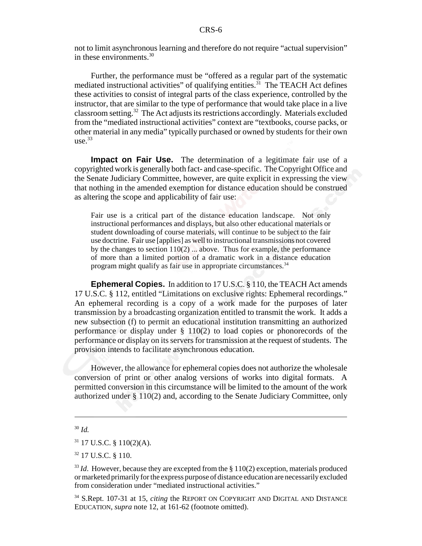not to limit asynchronous learning and therefore do not require "actual supervision" in these environments.30

Further, the performance must be "offered as a regular part of the systematic mediated instructional activities" of qualifying entities.<sup> $31$ </sup> The TEACH Act defines these activities to consist of integral parts of the class experience, controlled by the instructor, that are similar to the type of performance that would take place in a live classroom setting.32 The Act adjusts its restrictions accordingly. Materials excluded from the "mediated instructional activities" context are "textbooks, course packs, or other material in any media" typically purchased or owned by students for their own  $use.<sup>33</sup>$ 

**Impact on Fair Use.** The determination of a legitimate fair use of a copyrighted work is generally both fact- and case-specific. The Copyright Office and the Senate Judiciary Committee, however, are quite explicit in expressing the view that nothing in the amended exemption for distance education should be construed as altering the scope and applicability of fair use:

Fair use is a critical part of the distance education landscape. Not only instructional performances and displays, but also other educational materials or student downloading of course materials, will continue to be subject to the fair use doctrine. Fair use [applies] as well to instructional transmissions not covered by the changes to section 110(2) ... above. Thus for example, the performance of more than a limited portion of a dramatic work in a distance education program might qualify as fair use in appropriate circumstances.34

**Ephemeral Copies.** In addition to 17 U.S.C. § 110, the TEACH Act amends 17 U.S.C. § 112, entitled "Limitations on exclusive rights: Ephemeral recordings." An ephemeral recording is a copy of a work made for the purposes of later transmission by a broadcasting organization entitled to transmit the work. It adds a new subsection (f) to permit an educational institution transmitting an authorized performance or display under § 110(2) to load copies or phonorecords of the performance or display on its servers for transmission at the request of students. The provision intends to facilitate asynchronous education.

However, the allowance for ephemeral copies does not authorize the wholesale conversion of print or other analog versions of works into digital formats. A permitted conversion in this circumstance will be limited to the amount of the work authorized under § 110(2) and, according to the Senate Judiciary Committee, only

<sup>34</sup> S.Rept. 107-31 at 15, *citing* the REPORT ON COPYRIGHT AND DIGITAL AND DISTANCE EDUCATION, *supra* note 12, at 161-62 (footnote omitted).

<sup>30</sup> *Id.*

 $31$  17 U.S.C. § 110(2)(A).

<sup>32 17</sup> U.S.C. § 110.

<sup>&</sup>lt;sup>33</sup> *Id*. However, because they are excepted from the § 110(2) exception, materials produced or marketed primarily for the express purpose of distance education are necessarily excluded from consideration under "mediated instructional activities."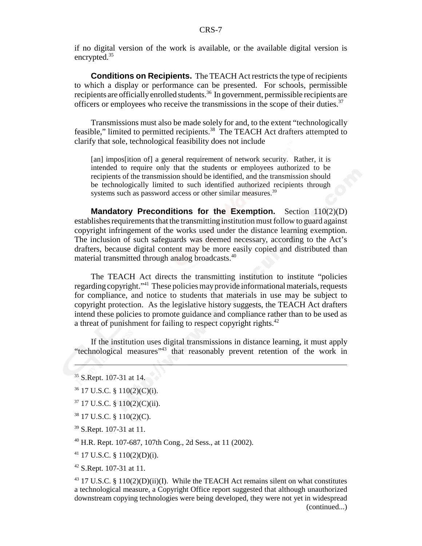if no digital version of the work is available, or the available digital version is encrypted.<sup>35</sup>

**Conditions on Recipients.** The TEACH Act restricts the type of recipients to which a display or performance can be presented. For schools, permissible recipients are officially enrolled students.36 In government, permissible recipients are officers or employees who receive the transmissions in the scope of their duties.<sup>37</sup>

Transmissions must also be made solely for and, to the extent "technologically feasible," limited to permitted recipients.<sup>38</sup> The TEACH Act drafters attempted to clarify that sole, technological feasibility does not include

[an] impos[ition of] a general requirement of network security. Rather, it is intended to require only that the students or employees authorized to be recipients of the transmission should be identified, and the transmission should be technologically limited to such identified authorized recipients through systems such as password access or other similar measures.<sup>39</sup>

**Mandatory Preconditions for the Exemption.** Section 110(2)(D) establishes requirements that the transmitting institution must follow to guard against copyright infringement of the works used under the distance learning exemption. The inclusion of such safeguards was deemed necessary, according to the Act's drafters, because digital content may be more easily copied and distributed than material transmitted through analog broadcasts.40

The TEACH Act directs the transmitting institution to institute "policies regarding copyright."41 These policies may provide informational materials, requests for compliance, and notice to students that materials in use may be subject to copyright protection. As the legislative history suggests, the TEACH Act drafters intend these policies to promote guidance and compliance rather than to be used as a threat of punishment for failing to respect copyright rights.<sup>42</sup>

If the institution uses digital transmissions in distance learning, it must apply "technological measures"43 that reasonably prevent retention of the work in

- $38$  17 U.S.C. § 110(2)(C).
- 39 S.Rept. 107-31 at 11.

40 H.R. Rept. 107-687, 107th Cong., 2d Sess., at 11 (2002).

41 17 U.S.C. § 110(2)(D)(i).

42 S.Rept. 107-31 at 11.

<sup>35</sup> S.Rept. 107-31 at 14.

<sup>36 17</sup> U.S.C. § 110(2)(C)(i).

<sup>37 17</sup> U.S.C. § 110(2)(C)(ii).

 $43$  17 U.S.C. § 110(2)(D)(ii)(I). While the TEACH Act remains silent on what constitutes a technological measure, a Copyright Office report suggested that although unauthorized downstream copying technologies were being developed, they were not yet in widespread (continued...)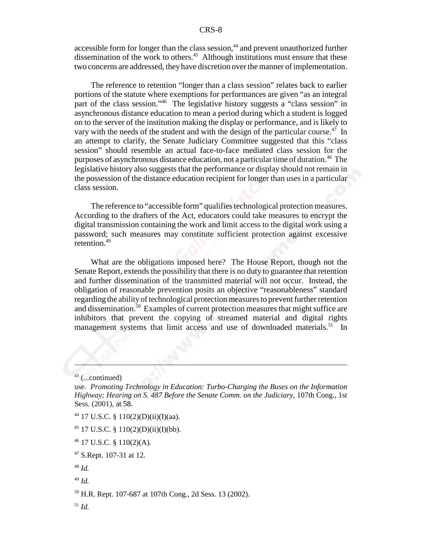accessible form for longer than the class session,<sup>44</sup> and prevent unauthorized further dissemination of the work to others.<sup>45</sup> Although institutions must ensure that these two concerns are addressed, they have discretion over the manner of implementation.

The reference to retention "longer than a class session" relates back to earlier portions of the statute where exemptions for performances are given "as an integral part of the class session."<sup>46</sup> The legislative history suggests a "class session" in asynchronous distance education to mean a period during which a student is logged on to the server of the institution making the display or performance, and is likely to vary with the needs of the student and with the design of the particular course.<sup>47</sup> In an attempt to clarify, the Senate Judiciary Committee suggested that this "class session" should resemble an actual face-to-face mediated class session for the purposes of asynchronous distance education, not a particular time of duration.<sup>48</sup> The legislative history also suggests that the performance or display should not remain in the possession of the distance education recipient for longer than uses in a particular class session.

The reference to "accessible form" qualifies technological protection measures. According to the drafters of the Act, educators could take measures to encrypt the digital transmission containing the work and limit access to the digital work using a password; such measures may constitute sufficient protection against excessive retention.<sup>49</sup>

What are the obligations imposed here? The House Report, though not the Senate Report, extends the possibility that there is no duty to guarantee that retention and further dissemination of the transmitted material will not occur. Instead, the obligation of reasonable prevention posits an objective "reasonableness" standard regarding the ability of technological protection measures to prevent further retention and dissemination.50 Examples of current protection measures that might suffice are inhibitors that prevent the copying of streamed material and digital rights management systems that limit access and use of downloaded materials.<sup>51</sup> In

 $43$  (...continued)

 $44$  17 U.S.C. § 110(2)(D)(ii)(I)(aa).

 $45$  17 U.S.C. § 110(2)(D)(ii)(I)(bb).

 $46$  17 U.S.C. § 110(2)(A).

<sup>48</sup> *Id.*

use. *Promoting Technology in Education: Turbo-Charging the Buses on the Information Highway; Hearing on S. 487 Before the Senate Comm. on the Judiciary*, 107th Cong., 1st Sess. (2001), at 58.

<sup>47</sup> S.Rept. 107-31 at 12.

<sup>49</sup> *Id.*

<sup>50</sup> H.R. Rept. 107-687 at 107th Cong., 2d Sess. 13 (2002).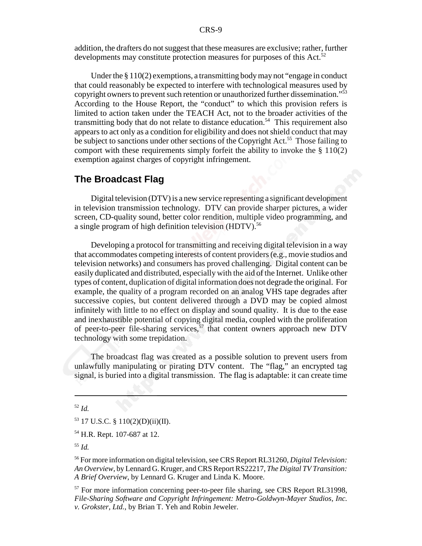addition, the drafters do not suggest that these measures are exclusive; rather, further developments may constitute protection measures for purposes of this Act.<sup>52</sup>

Under the § 110(2) exemptions, a transmitting body may not "engage in conduct that could reasonably be expected to interfere with technological measures used by copyright owners to prevent such retention or unauthorized further dissemination."53 According to the House Report, the "conduct" to which this provision refers is limited to action taken under the TEACH Act, not to the broader activities of the transmitting body that do not relate to distance education.<sup>54</sup> This requirement also appears to act only as a condition for eligibility and does not shield conduct that may be subject to sanctions under other sections of the Copyright Act.<sup>55</sup> Those failing to comport with these requirements simply forfeit the ability to invoke the  $\S$  110(2) exemption against charges of copyright infringement.

#### **The Broadcast Flag**

Digital television (DTV) is a new service representing a significant development in television transmission technology. DTV can provide sharper pictures, a wider screen, CD-quality sound, better color rendition, multiple video programming, and a single program of high definition television  $(HDTV)$ <sup>56</sup>

Developing a protocol for transmitting and receiving digital television in a way that accommodates competing interests of content providers (e.g., movie studios and television networks) and consumers has proved challenging. Digital content can be easily duplicated and distributed, especially with the aid of the Internet. Unlike other types of content, duplication of digital information does not degrade the original. For example, the quality of a program recorded on an analog VHS tape degrades after successive copies, but content delivered through a DVD may be copied almost infinitely with little to no effect on display and sound quality. It is due to the ease and inexhaustible potential of copying digital media, coupled with the proliferation of peer-to-peer file-sharing services,<sup>57</sup> that content owners approach new DTV technology with some trepidation.

The broadcast flag was created as a possible solution to prevent users from unlawfully manipulating or pirating DTV content. The "flag," an encrypted tag signal, is buried into a digital transmission. The flag is adaptable: it can create time

<sup>52</sup> *Id.*

 $53$  17 U.S.C. § 110(2)(D)(ii)(II).

54 H.R. Rept. 107-687 at 12.

<sup>55</sup> *Id.*

56 For more information on digital television, see CRS Report RL31260, *Digital Television: An Overview*, by Lennard G. Kruger, and CRS Report RS22217, *The Digital TV Transition: A Brief Overview*, by Lennard G. Kruger and Linda K. Moore.

<sup>57</sup> For more information concerning peer-to-peer file sharing, see CRS Report RL31998, *File-Sharing Software and Copyright Infringement: Metro-Goldwyn-Mayer Studios, Inc. v. Grokster, Ltd.*, by Brian T. Yeh and Robin Jeweler.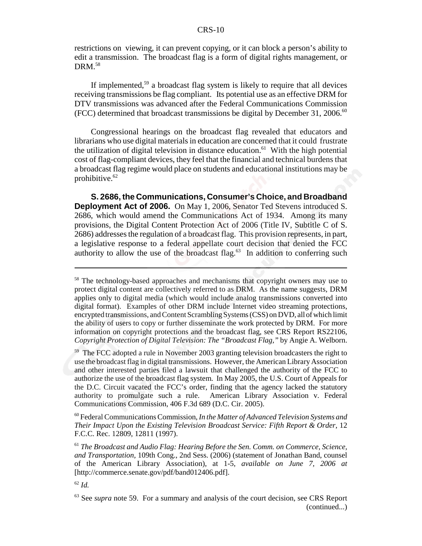#### CRS-10

restrictions on viewing, it can prevent copying, or it can block a person's ability to edit a transmission. The broadcast flag is a form of digital rights management, or  $DRM.<sup>58</sup>$ 

If implemented,<sup>59</sup> a broadcast flag system is likely to require that all devices receiving transmissions be flag compliant. Its potential use as an effective DRM for DTV transmissions was advanced after the Federal Communications Commission (FCC) determined that broadcast transmissions be digital by December 31, 2006.<sup>60</sup>

Congressional hearings on the broadcast flag revealed that educators and librarians who use digital materials in education are concerned that it could frustrate the utilization of digital television in distance education.<sup>61</sup> With the high potential cost of flag-compliant devices, they feel that the financial and technical burdens that a broadcast flag regime would place on students and educational institutions may be prohibitive. $62$ 

**S. 2686, the Communications, Consumer's Choice, and Broadband Deployment Act of 2006.** On May 1, 2006, Senator Ted Stevens introduced S. 2686, which would amend the Communications Act of 1934. Among its many provisions, the Digital Content Protection Act of 2006 (Title IV, Subtitle C of S. 2686) addresses the regulation of a broadcast flag. This provision represents, in part, a legislative response to a federal appellate court decision that denied the FCC authority to allow the use of the broadcast flag.<sup>63</sup> In addition to conferring such

60 Federal Communications Commission, *In the Matter of Advanced Television Systems and Their Impact Upon the Existing Television Broadcast Service: Fifth Report & Order*, 12 F.C.C. Rec. 12809, 12811 (1997).

<sup>61</sup> *The Broadcast and Audio Flag: Hearing Before the Sen. Comm. on Commerce, Science, and Transportation,* 109th Cong., 2nd Sess. (2006) (statement of Jonathan Band, counsel of the American Library Association), at 1-5, *available on June 7, 2006 at* [http://commerce.senate.gov/pdf/band012406.pdf].

<sup>62</sup> *Id.*

<sup>&</sup>lt;sup>58</sup> The technology-based approaches and mechanisms that copyright owners may use to protect digital content are collectively referred to as DRM. As the name suggests, DRM applies only to digital media (which would include analog transmissions converted into digital format). Examples of other DRM include Internet video streaming protections, encrypted transmissions, and Content Scrambling Systems (CSS) on DVD, all of which limit the ability of users to copy or further disseminate the work protected by DRM. For more information on copyright protections and the broadcast flag, see CRS Report RS22106, *Copyright Protection of Digital Television: The "Broadcast Flag,"* by Angie A. Welborn.

<sup>&</sup>lt;sup>59</sup> The FCC adopted a rule in November 2003 granting television broadcasters the right to use the broadcast flag in digital transmissions. However, the American Library Association and other interested parties filed a lawsuit that challenged the authority of the FCC to authorize the use of the broadcast flag system. In May 2005, the U.S. Court of Appeals for the D.C. Circuit vacated the FCC's order, finding that the agency lacked the statutory authority to promulgate such a rule. American Library Association v. Federal Communications Commission, 406 F.3d 689 (D.C. Cir. 2005).

<sup>&</sup>lt;sup>63</sup> See *supra* note 59. For a summary and analysis of the court decision, see CRS Report (continued...)